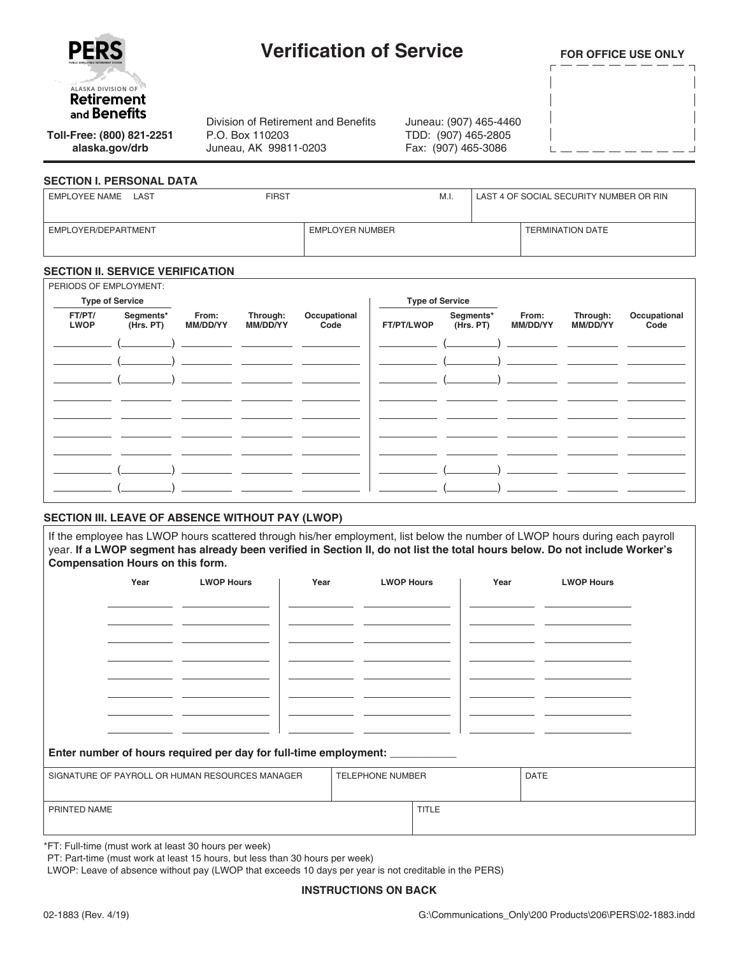

# **Verification of Service**

Division of Retirement and Benefits

P.O. Box 110203 Juneau, AK 99811-0203 **FOR OFFICE USE ONLY**

**Toll-Free: (800) 821-2251 alaska.gov/drb**

#### **SECTION I. PERSONAL DATA**

| EMPLOYEE NAME<br>LAST | <b>FIRST</b>    | M.I. | LAST 4 OF SOCIAL SECURITY NUMBER OR RIN |
|-----------------------|-----------------|------|-----------------------------------------|
| EMPLOYER/DEPARTMENT   | EMPLOYER NUMBER |      | <b>TERMINATION DATE</b>                 |

Juneau: (907) 465-4460 TDD: (907) 465-2805 Fax: (907) 465-3086

#### **SECTION II. SERVICE VERIFICATION**

| PERIODS OF EMPLOYMENT: |                        |                   |                      |                      |                                             |  |                   |                      |                      |
|------------------------|------------------------|-------------------|----------------------|----------------------|---------------------------------------------|--|-------------------|----------------------|----------------------|
| <b>Type of Service</b> |                        |                   |                      |                      |                                             |  |                   |                      |                      |
| FT/PT/<br><b>LWOP</b>  | Segments*<br>(Hrs. PT) | From:<br>MM/DD/YY | Through:<br>MM/DD/YY | Occupational<br>Code | Segments*<br>(Hrs. PT)<br><b>FT/PT/LWOP</b> |  | From:<br>MM/DD/YY | Through:<br>MM/DD/YY | Occupational<br>Code |
|                        |                        |                   |                      |                      |                                             |  |                   |                      |                      |
|                        |                        |                   |                      |                      |                                             |  |                   |                      |                      |
|                        |                        |                   |                      |                      |                                             |  |                   |                      |                      |
|                        |                        |                   |                      |                      |                                             |  |                   |                      |                      |
|                        |                        |                   |                      |                      |                                             |  |                   |                      |                      |
|                        |                        |                   |                      |                      |                                             |  |                   |                      |                      |
|                        |                        |                   |                      |                      |                                             |  |                   |                      |                      |
|                        |                        |                   |                      |                      |                                             |  |                   |                      |                      |
|                        |                        |                   |                      |                      |                                             |  |                   |                      |                      |

## **SECTION III. LEAVE OF ABSENCE WITHOUT PAY (LWOP)**

If the employee has LWOP hours scattered through his/her employment, list below the number of LWOP hours during each payroll year. **If a LWOP segment has already been verified in Section II, do not list the total hours below. Do not include Worker's Compensation Hours on this form.**

|                                                                               | Year | <b>LWOP Hours</b> | Year |  | <b>LWOP Hours</b> |              | Year | <b>LWOP Hours</b> |  |
|-------------------------------------------------------------------------------|------|-------------------|------|--|-------------------|--------------|------|-------------------|--|
|                                                                               |      |                   |      |  |                   |              |      |                   |  |
|                                                                               |      |                   |      |  |                   |              |      |                   |  |
|                                                                               |      |                   |      |  |                   |              |      |                   |  |
|                                                                               |      |                   |      |  |                   |              |      |                   |  |
|                                                                               |      |                   |      |  |                   |              |      |                   |  |
|                                                                               |      |                   |      |  |                   |              |      |                   |  |
|                                                                               |      |                   |      |  |                   |              |      |                   |  |
|                                                                               |      |                   |      |  |                   |              |      |                   |  |
|                                                                               |      |                   |      |  |                   |              |      |                   |  |
|                                                                               |      |                   |      |  |                   |              |      |                   |  |
|                                                                               |      |                   |      |  |                   |              |      |                   |  |
| Enter number of hours required per day for full-time employment: ____________ |      |                   |      |  |                   |              |      |                   |  |
|                                                                               |      |                   |      |  |                   |              |      |                   |  |
|                                                                               |      |                   |      |  |                   |              |      |                   |  |
|                                                                               |      |                   |      |  |                   |              |      |                   |  |
|                                                                               |      |                   |      |  |                   |              |      |                   |  |
|                                                                               |      |                   |      |  |                   |              |      |                   |  |
| SIGNATURE OF PAYROLL OR HUMAN RESOURCES MANAGER<br>PRINTED NAME               |      |                   |      |  | TELEPHONE NUMBER  | <b>TITLE</b> |      | <b>DATE</b>       |  |

\*FT: Full-time (must work at least 30 hours per week)

PT: Part-time (must work at least 15 hours, but less than 30 hours per week)

LWOP: Leave of absence without pay (LWOP that exceeds 10 days per year is not creditable in the PERS)